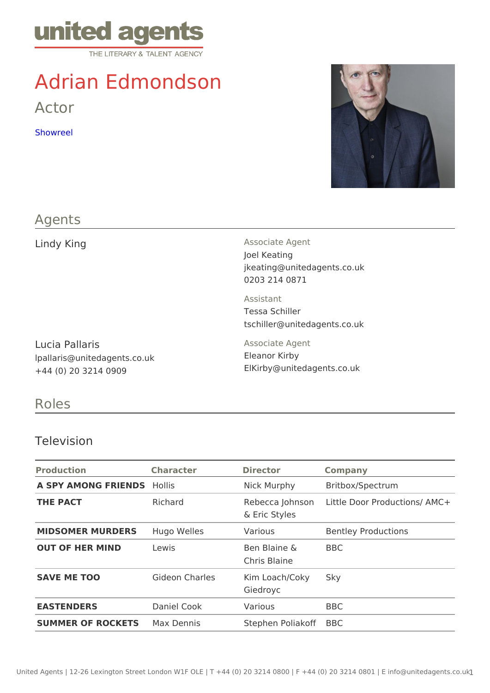# Adrian Edmondson

Actor

[Showre](https://vimeo.com/486463448)el

### Agents

| Lindy King                                                               | Associate Agent<br>Joel Keating<br>jkeating@unitedagents.co.uk<br>0203 214 0871 |  |
|--------------------------------------------------------------------------|---------------------------------------------------------------------------------|--|
|                                                                          | Assistant<br>Tessa Schiller<br>tschiller@unitedagents.co.uk                     |  |
| Lucia Pallaris<br>Ipallaris@unitedagents.co.uk<br>$+44$ (0) 20 3214 0909 | Associate Agent<br>Eleanor Kirby<br>ElKirby @ unitedagents.co.uk                |  |

## Roles

#### Television

| Production                  | Character                        | Director                         | Company                                 |
|-----------------------------|----------------------------------|----------------------------------|-----------------------------------------|
| A SPY AMONG FRIENDISIS      |                                  |                                  | Nick Murphy Britbox/Spectrum            |
| THE PACT                    | Richard                          | & Eric Styles                    | Rebecca John Lottle Door Productions/AM |
| MIDSOMER MURDERHSugo Welles |                                  | Various                          | Bentley Productions                     |
| OUT OF HER MIND Lewis       |                                  | Ben Blaine & BBC<br>Chris Blaine |                                         |
| SAVE ME TOO                 | Gideon Charles Kim Loach/CokSyky | Giedroyc                         |                                         |
| <b>EASTENDERS</b>           | Daniel Cook                      | Various                          | BBC                                     |
| SUMMER OF ROCKEMSx Dennis   |                                  | Stephen Polia BoBfC              |                                         |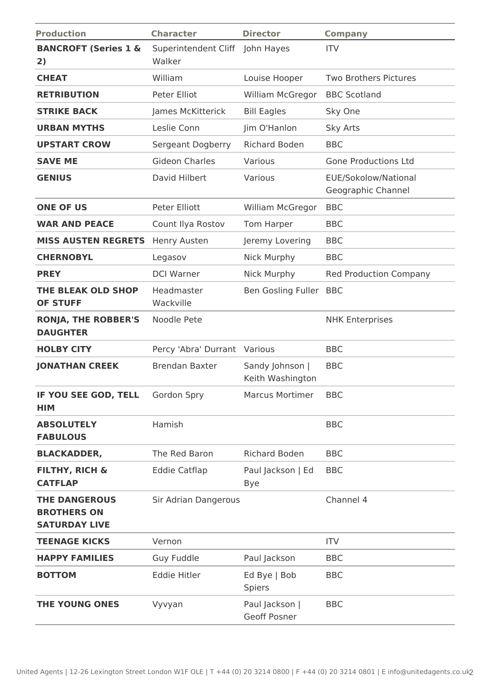| <b>Production</b>                                                  | <b>Character</b>               | <b>Director</b>                     | <b>Company</b>                             |
|--------------------------------------------------------------------|--------------------------------|-------------------------------------|--------------------------------------------|
| <b>BANCROFT (Series 1 &amp;</b><br>2)                              | Superintendent Cliff<br>Walker | John Hayes                          | <b>ITV</b>                                 |
| <b>CHEAT</b>                                                       | William                        | Louise Hooper                       | <b>Two Brothers Pictures</b>               |
| <b>RETRIBUTION</b>                                                 | Peter Elliot                   | William McGregor                    | <b>BBC Scotland</b>                        |
| <b>STRIKE BACK</b>                                                 | James McKitterick              | <b>Bill Eagles</b>                  | Sky One                                    |
| <b>URBAN MYTHS</b>                                                 | Leslie Conn                    | Jim O'Hanlon                        | <b>Sky Arts</b>                            |
| <b>UPSTART CROW</b>                                                | Sergeant Dogberry              | <b>Richard Boden</b>                | <b>BBC</b>                                 |
| <b>SAVE ME</b>                                                     | <b>Gideon Charles</b>          | Various                             | <b>Gone Productions Ltd</b>                |
| <b>GENIUS</b>                                                      | David Hilbert                  | Various                             | EUE/Sokolow/National<br>Geographic Channel |
| <b>ONE OF US</b>                                                   | Peter Elliott                  | William McGregor                    | <b>BBC</b>                                 |
| <b>WAR AND PEACE</b>                                               | Count Ilya Rostov              | Tom Harper                          | <b>BBC</b>                                 |
| <b>MISS AUSTEN REGRETS</b>                                         | Henry Austen                   | Jeremy Lovering                     | <b>BBC</b>                                 |
| <b>CHERNOBYL</b>                                                   | Legasov                        | Nick Murphy                         | <b>BBC</b>                                 |
| <b>PREY</b>                                                        | <b>DCI Warner</b>              | Nick Murphy                         | <b>Red Production Company</b>              |
| <b>THE BLEAK OLD SHOP</b><br><b>OF STUFF</b>                       | Headmaster<br>Wackville        | Ben Gosling Fuller BBC              |                                            |
| <b>RONJA, THE ROBBER'S</b><br><b>DAUGHTER</b>                      | Noodle Pete                    |                                     | <b>NHK Enterprises</b>                     |
| <b>HOLBY CITY</b>                                                  | Percy 'Abra' Durrant Various   |                                     | <b>BBC</b>                                 |
| <b>JONATHAN CREEK</b>                                              | <b>Brendan Baxter</b>          | Sandy Johnson  <br>Keith Washington | <b>BBC</b>                                 |
| IF YOU SEE GOD, TELL Gordon Spry<br><b>HIM</b>                     |                                | <b>Marcus Mortimer</b>              | <b>BBC</b>                                 |
| <b>ABSOLUTELY</b><br><b>FABULOUS</b>                               | Hamish                         |                                     | <b>BBC</b>                                 |
| <b>BLACKADDER,</b>                                                 | The Red Baron                  | <b>Richard Boden</b>                | <b>BBC</b>                                 |
| <b>FILTHY, RICH &amp;</b><br><b>CATFLAP</b>                        | <b>Eddie Catflap</b>           | Paul Jackson   Ed<br><b>Bye</b>     | <b>BBC</b>                                 |
| <b>THE DANGEROUS</b><br><b>BROTHERS ON</b><br><b>SATURDAY LIVE</b> | <b>Sir Adrian Dangerous</b>    |                                     | Channel 4                                  |
| <b>TEENAGE KICKS</b>                                               | Vernon                         |                                     | <b>ITV</b>                                 |
| <b>HAPPY FAMILIES</b>                                              | Guy Fuddle                     | Paul Jackson                        | <b>BBC</b>                                 |
| <b>BOTTOM</b>                                                      | <b>Eddie Hitler</b>            | Ed Bye   Bob<br><b>Spiers</b>       | <b>BBC</b>                                 |
| <b>THE YOUNG ONES</b>                                              | Vyvyan                         | Paul Jackson  <br>Geoff Posner      | <b>BBC</b>                                 |